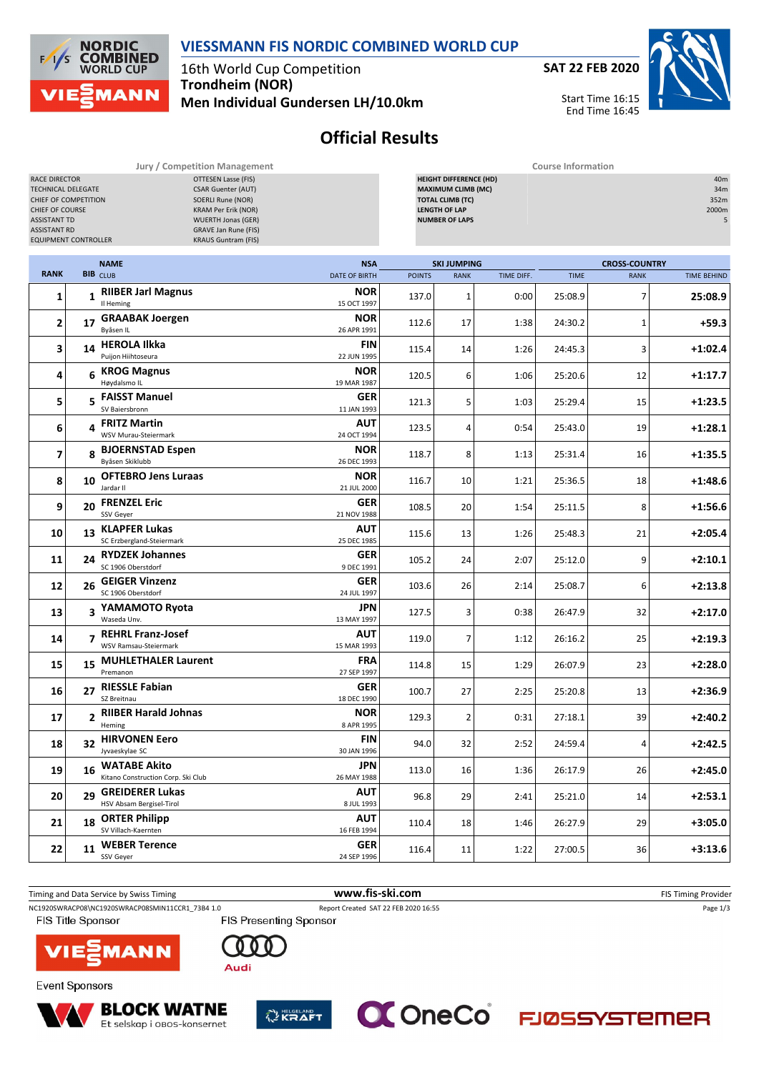

**NORDIC COMBINED**<br>WORLD CUP  $F$ **MANN** 

16th World Cup Competition **Trondheim (NOR) Men Individual Gundersen LH/10.0km**



Start Time 16:15 End Time 16:45



## **Official Results**

| Jury / Competition Management                                                                                                                                                                                                                                                                                                                                       |    |                                                           |                           |               | <b>Course Information</b>                                                                                                                                                  |            |             |                      |                    |  |  |  |
|---------------------------------------------------------------------------------------------------------------------------------------------------------------------------------------------------------------------------------------------------------------------------------------------------------------------------------------------------------------------|----|-----------------------------------------------------------|---------------------------|---------------|----------------------------------------------------------------------------------------------------------------------------------------------------------------------------|------------|-------------|----------------------|--------------------|--|--|--|
| RACE DIRECTOR<br><b>OTTESEN Lasse (FIS)</b><br>TECHNICAL DELEGATE<br><b>CSAR Guenter (AUT)</b><br>SOERLI Rune (NOR)<br>CHIEF OF COMPETITION<br><b>KRAM Per Erik (NOR)</b><br>CHIEF OF COURSE<br><b>ASSISTANT TD</b><br><b>WUERTH Jonas (GER)</b><br><b>ASSISTANT RD</b><br><b>GRAVE Jan Rune (FIS)</b><br><b>EQUIPMENT CONTROLLER</b><br><b>KRAUS Guntram (FIS)</b> |    |                                                           |                           |               | <b>HEIGHT DIFFERENCE (HD)</b><br>40m<br><b>MAXIMUM CLIMB (MC)</b><br>34m<br><b>TOTAL CLIMB (TC)</b><br>352m<br><b>LENGTH OF LAP</b><br>2000m<br><b>NUMBER OF LAPS</b><br>5 |            |             |                      |                    |  |  |  |
|                                                                                                                                                                                                                                                                                                                                                                     |    | <b>NAME</b>                                               | <b>NSA</b>                |               | <b>SKI JUMPING</b>                                                                                                                                                         |            |             | <b>CROSS-COUNTRY</b> |                    |  |  |  |
| <b>RANK</b>                                                                                                                                                                                                                                                                                                                                                         |    | <b>BIB</b> CLUB                                           | <b>DATE OF BIRTH</b>      | <b>POINTS</b> | <b>RANK</b>                                                                                                                                                                | TIME DIFF. | <b>TIME</b> | <b>RANK</b>          | <b>TIME BEHIND</b> |  |  |  |
| 1                                                                                                                                                                                                                                                                                                                                                                   |    | 1 RIIBER Jarl Magnus<br>Il Heming                         | <b>NOR</b><br>15 OCT 1997 | 137.0         | $\mathbf{1}$                                                                                                                                                               | 0:00       | 25:08.9     | 7                    | 25:08.9            |  |  |  |
| 2                                                                                                                                                                                                                                                                                                                                                                   | 17 | <b>GRAABAK Joergen</b><br>Byåsen IL                       | <b>NOR</b><br>26 APR 1991 | 112.6         | 17                                                                                                                                                                         | 1:38       | 24:30.2     | 1                    | $+59.3$            |  |  |  |
| 3                                                                                                                                                                                                                                                                                                                                                                   |    | 14 HEROLA Ilkka<br>Puijon Hiihtoseura                     | <b>FIN</b><br>22 JUN 1995 | 115.4         | 14                                                                                                                                                                         | 1:26       | 24:45.3     | 3                    | $+1:02.4$          |  |  |  |
| 4                                                                                                                                                                                                                                                                                                                                                                   |    | 6 KROG Magnus<br>Høydalsmo IL                             | <b>NOR</b><br>19 MAR 1987 | 120.5         | 6                                                                                                                                                                          | 1:06       | 25:20.6     | 12                   | $+1:17.7$          |  |  |  |
| 5                                                                                                                                                                                                                                                                                                                                                                   |    | 5 FAISST Manuel<br>SV Baiersbronn                         | <b>GER</b><br>11 JAN 1993 | 121.3         | 5                                                                                                                                                                          | 1:03       | 25:29.4     | 15                   | $+1:23.5$          |  |  |  |
| 6                                                                                                                                                                                                                                                                                                                                                                   |    | 4 FRITZ Martin<br>WSV Murau-Steiermark                    | AUT<br>24 OCT 1994        | 123.5         | 4                                                                                                                                                                          | 0:54       | 25:43.0     | 19                   | $+1:28.1$          |  |  |  |
| 7                                                                                                                                                                                                                                                                                                                                                                   | 8  | <b>BJOERNSTAD Espen</b><br>Byåsen Skiklubb                | <b>NOR</b><br>26 DEC 1993 | 118.7         | 8                                                                                                                                                                          | 1:13       | 25:31.4     | 16                   | $+1:35.5$          |  |  |  |
| 8                                                                                                                                                                                                                                                                                                                                                                   | 10 | <b>OFTEBRO Jens Luraas</b><br>Jardar II                   | <b>NOR</b><br>21 JUL 2000 | 116.7         | 10                                                                                                                                                                         | 1:21       | 25:36.5     | 18                   | $+1:48.6$          |  |  |  |
| 9                                                                                                                                                                                                                                                                                                                                                                   | 20 | <b>FRENZEL Eric</b><br>SSV Geyer                          | <b>GER</b><br>21 NOV 1988 | 108.5         | 20                                                                                                                                                                         | 1:54       | 25:11.5     | 8                    | $+1:56.6$          |  |  |  |
| 10                                                                                                                                                                                                                                                                                                                                                                  | 13 | <b>KLAPFER Lukas</b><br>SC Erzbergland-Steiermark         | AUT<br>25 DEC 1985        | 115.6         | 13                                                                                                                                                                         | 1:26       | 25:48.3     | 21                   | $+2:05.4$          |  |  |  |
| 11                                                                                                                                                                                                                                                                                                                                                                  |    | 24 RYDZEK Johannes<br>SC 1906 Oberstdorf                  | <b>GER</b><br>9 DEC 1991  | 105.2         | 24                                                                                                                                                                         | 2:07       | 25:12.0     | 9                    | $+2:10.1$          |  |  |  |
| 12                                                                                                                                                                                                                                                                                                                                                                  | 26 | <b>GEIGER Vinzenz</b><br>SC 1906 Oberstdorf               | <b>GER</b><br>24 JUL 1997 | 103.6         | 26                                                                                                                                                                         | 2:14       | 25:08.7     | 6                    | $+2:13.8$          |  |  |  |
| 13                                                                                                                                                                                                                                                                                                                                                                  |    | 3 YAMAMOTO Ryota<br>Waseda Unv.                           | <b>JPN</b><br>13 MAY 1997 | 127.5         | 3                                                                                                                                                                          | 0:38       | 26:47.9     | 32                   | $+2:17.0$          |  |  |  |
| 14                                                                                                                                                                                                                                                                                                                                                                  |    | 7 REHRL Franz-Josef<br>WSV Ramsau-Steiermark              | AUT<br>15 MAR 1993        | 119.0         | $\overline{7}$                                                                                                                                                             | 1:12       | 26:16.2     | 25                   | $+2:19.3$          |  |  |  |
| 15                                                                                                                                                                                                                                                                                                                                                                  |    | 15 MUHLETHALER Laurent<br>Premanon                        | FRA<br>27 SEP 1997        | 114.8         | 15                                                                                                                                                                         | 1:29       | 26:07.9     | 23                   | $+2:28.0$          |  |  |  |
| 16                                                                                                                                                                                                                                                                                                                                                                  |    | 27 RIESSLE Fabian<br>SZ Breitnau                          | <b>GER</b><br>18 DEC 1990 | 100.7         | 27                                                                                                                                                                         | 2:25       | 25:20.8     | 13                   | $+2:36.9$          |  |  |  |
| 17                                                                                                                                                                                                                                                                                                                                                                  |    | 2 RIIBER Harald Johnas<br>Heming                          | <b>NOR</b><br>8 APR 1995  | 129.3         | $\overline{2}$                                                                                                                                                             | 0:31       | 27:18.1     | 39                   | $+2:40.2$          |  |  |  |
| 18                                                                                                                                                                                                                                                                                                                                                                  |    | 32 HIRVONEN Eero<br>Jyvaeskylae SC                        | <b>FIN</b><br>30 JAN 1996 | 94.0          | 32                                                                                                                                                                         | 2:52       | 24:59.4     | 4                    | $+2:42.5$          |  |  |  |
| 19                                                                                                                                                                                                                                                                                                                                                                  | 16 | <b>WATABE Akito</b><br>Kitano Construction Corp. Ski Club | JPN<br>26 MAY 1988        | 113.0         | 16                                                                                                                                                                         | 1:36       | 26:17.9     | 26                   | $+2:45.0$          |  |  |  |
| 20                                                                                                                                                                                                                                                                                                                                                                  | 29 | <b>GREIDERER Lukas</b><br>HSV Absam Bergisel-Tirol        | <b>AUT</b><br>8 JUL 1993  | 96.8          | 29                                                                                                                                                                         | 2:41       | 25:21.0     | 14                   | $+2:53.1$          |  |  |  |
| 21                                                                                                                                                                                                                                                                                                                                                                  | 18 | <b>ORTER Philipp</b><br>SV Villach-Kaernten               | <b>AUT</b><br>16 FEB 1994 | 110.4         | 18                                                                                                                                                                         | 1:46       | 26:27.9     | 29                   | $+3:05.0$          |  |  |  |
| 22                                                                                                                                                                                                                                                                                                                                                                  | 11 | <b>WEBER Terence</b><br>SSV Geyer                         | <b>GER</b><br>24 SEP 1996 | 116.4         | 11                                                                                                                                                                         | 1:22       | 27:00.5     | 36                   | $+3:13.6$          |  |  |  |











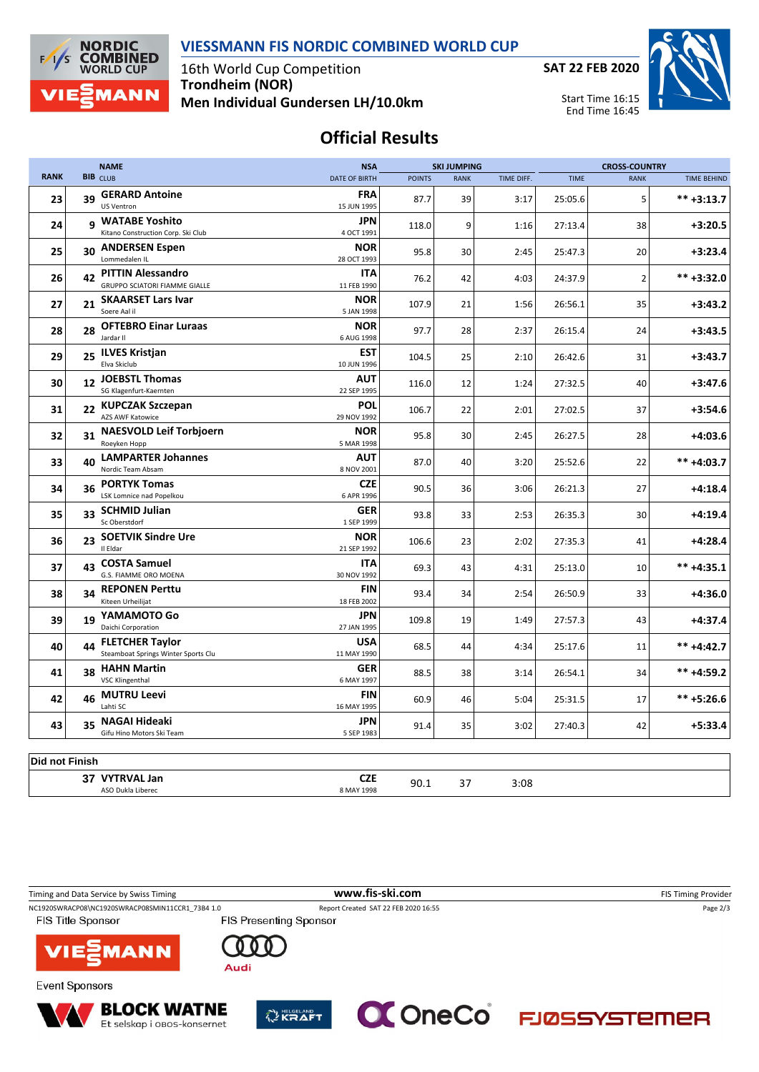



16th World Cup Competition **Trondheim (NOR) Men Individual Gundersen LH/10.0km**



## **Official Results**

|                |    | <b>NAME</b>                                                   | <b>NSA</b>                |               | <b>SKI JUMPING</b> |            | <b>CROSS-COUNTRY</b> |                |                    |
|----------------|----|---------------------------------------------------------------|---------------------------|---------------|--------------------|------------|----------------------|----------------|--------------------|
| <b>RANK</b>    |    | <b>BIB</b> CLUB                                               | <b>DATE OF BIRTH</b>      | <b>POINTS</b> | <b>RANK</b>        | TIME DIFF. | <b>TIME</b>          | <b>RANK</b>    | <b>TIME BEHIND</b> |
| 23             | 39 | <b>GERARD Antoine</b><br><b>US Ventron</b>                    | <b>FRA</b><br>15 JUN 1995 | 87.7          | 39                 | 3:17       | 25:05.6              | 5              | $*** +3:13.7$      |
| 24             |    | 9 WATABE Yoshito<br>Kitano Construction Corp. Ski Club        | <b>JPN</b><br>4 OCT 1991  | 118.0         | 9                  | 1:16       | 27:13.4              | 38             | $+3:20.5$          |
| 25             | 30 | <b>ANDERSEN Espen</b><br>Lommedalen IL                        | <b>NOR</b><br>28 OCT 1993 | 95.8          | 30                 | 2:45       | 25:47.3              | 20             | $+3:23.4$          |
| 26             |    | 42 PITTIN Alessandro<br>GRUPPO SCIATORI FIAMME GIALLE         | ITA<br>11 FEB 1990        | 76.2          | 42                 | 4:03       | 24:37.9              | $\overline{2}$ | $*** +3:32.0$      |
| 27             | 21 | <b>SKAARSET Lars Ivar</b><br>Soere Aal il                     | <b>NOR</b><br>5 JAN 1998  | 107.9         | 21                 | 1:56       | 26:56.1              | 35             | $+3:43.2$          |
| 28             | 28 | <b>OFTEBRO Einar Luraas</b><br>Jardar II                      | <b>NOR</b><br>6 AUG 1998  | 97.7          | 28                 | 2:37       | 26:15.4              | 24             | $+3:43.5$          |
| 29             |    | 25 ILVES Kristjan<br>Elva Skiclub                             | <b>EST</b><br>10 JUN 1996 | 104.5         | 25                 | 2:10       | 26:42.6              | 31             | $+3:43.7$          |
| 30             |    | 12 JOEBSTL Thomas<br>SG Klagenfurt-Kaernten                   | <b>AUT</b><br>22 SEP 1995 | 116.0         | 12                 | 1:24       | 27:32.5              | 40             | $+3:47.6$          |
| 31             | 22 | <b>KUPCZAK Szczepan</b><br>AZS AWF Katowice                   | POL<br>29 NOV 1992        | 106.7         | 22                 | 2:01       | 27:02.5              | 37             | $+3:54.6$          |
| 32             | 31 | <b>NAESVOLD Leif Torbjoern</b><br>Roeyken Hopp                | <b>NOR</b><br>5 MAR 1998  | 95.8          | 30                 | 2:45       | 26:27.5              | 28             | $+4:03.6$          |
| 33             | 40 | <b>LAMPARTER Johannes</b><br>Nordic Team Absam                | AUT<br>8 NOV 2001         | 87.0          | 40                 | 3:20       | 25:52.6              | 22             | $*** +4:03.7$      |
| 34             | 36 | <b>PORTYK Tomas</b><br>LSK Lomnice nad Popelkou               | <b>CZE</b><br>6 APR 1996  | 90.5          | 36                 | 3:06       | 26:21.3              | 27             | $+4:18.4$          |
| 35             | 33 | <b>SCHMID Julian</b><br>Sc Oberstdorf                         | GER<br>1 SEP 1999         | 93.8          | 33                 | 2:53       | 26:35.3              | 30             | $+4:19.4$          |
| 36             | 23 | <b>SOETVIK Sindre Ure</b><br>Il Eldar                         | <b>NOR</b><br>21 SEP 1992 | 106.6         | 23                 | 2:02       | 27:35.3              | 41             | $+4:28.4$          |
| 37             | 43 | <b>COSTA Samuel</b><br>G.S. FIAMME ORO MOENA                  | ITA<br>30 NOV 1992        | 69.3          | 43                 | 4:31       | 25:13.0              | 10             | $*** +4:35.1$      |
| 38             | 34 | <b>REPONEN Perttu</b><br>Kiteen Urheilijat                    | FIN<br>18 FEB 2002        | 93.4          | 34                 | 2:54       | 26:50.9              | 33             | +4:36.0            |
| 39             | 19 | YAMAMOTO Go<br>Daichi Corporation                             | <b>JPN</b><br>27 JAN 1995 | 109.8         | 19                 | 1:49       | 27:57.3              | 43             | $+4:37.4$          |
| 40             | 44 | <b>FLETCHER Taylor</b><br>Steamboat Springs Winter Sports Clu | <b>USA</b><br>11 MAY 1990 | 68.5          | 44                 | 4:34       | 25:17.6              | 11             | $*** +4:42.7$      |
| 41             | 38 | <b>HAHN Martin</b><br><b>VSC Klingenthal</b>                  | <b>GER</b><br>6 MAY 1997  | 88.5          | 38                 | 3:14       | 26:54.1              | 34             | ** +4:59.2         |
| 42             |    | 46 MUTRU Leevi<br>Lahti SC                                    | FIN<br>16 MAY 1995        | 60.9          | 46                 | 5:04       | 25:31.5              | 17             | $*** +5:26.6$      |
| 43             | 35 | NAGAI Hideaki<br>Gifu Hino Motors Ski Team                    | JPN<br>5 SEP 1983         | 91.4          | 35                 | 3:02       | 27:40.3              | 42             | $+5:33.4$          |
|                |    |                                                               |                           |               |                    |            |                      |                |                    |
| Did not Finish |    |                                                               |                           |               |                    |            |                      |                |                    |
|                |    | 37 VYTRVAL Jan<br>ASO Dukla Liberec                           | <b>CZE</b><br>8 MAY 1998  | 90.1          | 37                 | 3:08       |                      |                |                    |